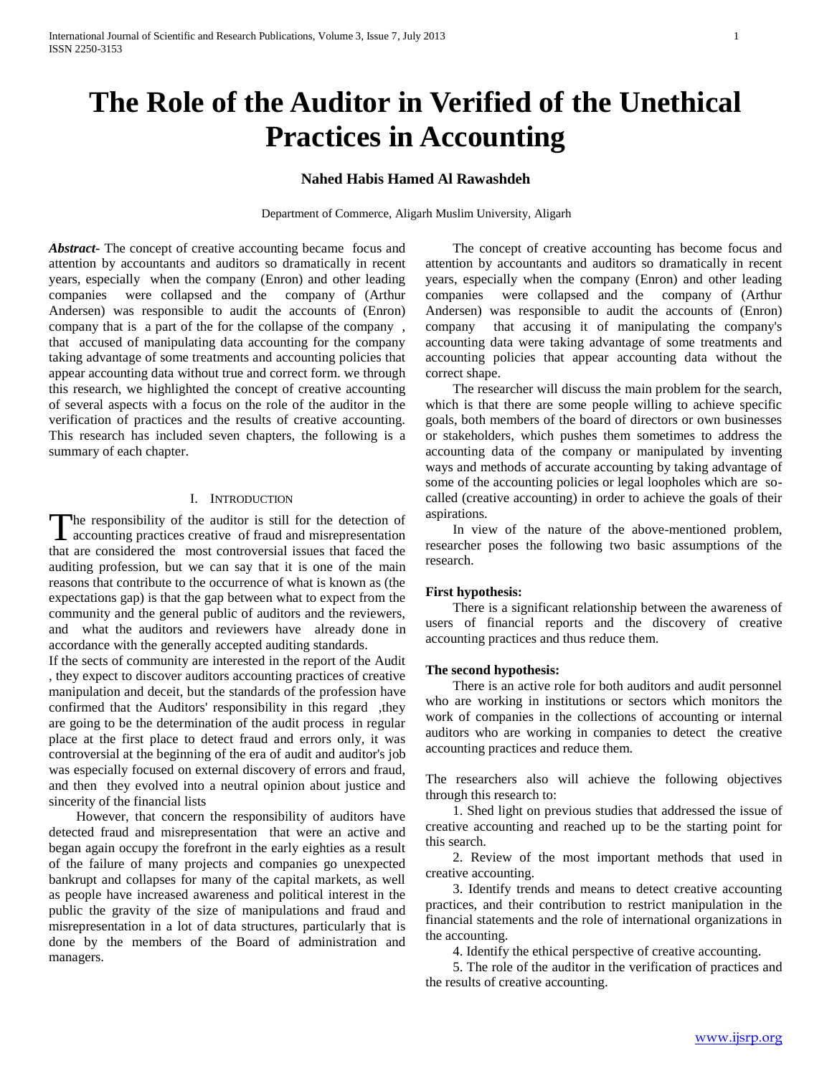# **The Role of the Auditor in Verified of the Unethical Practices in Accounting**

# **Nahed Habis Hamed Al Rawashdeh**

Department of Commerce, Aligarh Muslim University, Aligarh

*Abstract***-** The concept of creative accounting became focus and attention by accountants and auditors so dramatically in recent years, especially when the company (Enron) and other leading companies were collapsed and the company of (Arthur Andersen) was responsible to audit the accounts of (Enron) company that is a part of the for the collapse of the company , that accused of manipulating data accounting for the company taking advantage of some treatments and accounting policies that appear accounting data without true and correct form. we through this research, we highlighted the concept of creative accounting of several aspects with a focus on the role of the auditor in the verification of practices and the results of creative accounting. This research has included seven chapters, the following is a summary of each chapter.

## I. INTRODUCTION

The responsibility of the auditor is still for the detection of The responsibility of the auditor is still for the detection of accounting practices creative of fraud and misrepresentation that are considered the most controversial issues that faced the auditing profession, but we can say that it is one of the main reasons that contribute to the occurrence of what is known as (the expectations gap) is that the gap between what to expect from the community and the general public of auditors and the reviewers, and what the auditors and reviewers have already done in accordance with the generally accepted auditing standards.

If the sects of community are interested in the report of the Audit , they expect to discover auditors accounting practices of creative manipulation and deceit, but the standards of the profession have confirmed that the Auditors' responsibility in this regard, they are going to be the determination of the audit process in regular place at the first place to detect fraud and errors only, it was controversial at the beginning of the era of audit and auditor's job was especially focused on external discovery of errors and fraud, and then they evolved into a neutral opinion about justice and sincerity of the financial lists

 However, that concern the responsibility of auditors have detected fraud and misrepresentation that were an active and began again occupy the forefront in the early eighties as a result of the failure of many projects and companies go unexpected bankrupt and collapses for many of the capital markets, as well as people have increased awareness and political interest in the public the gravity of the size of manipulations and fraud and misrepresentation in a lot of data structures, particularly that is done by the members of the Board of administration and managers.

 The concept of creative accounting has become focus and attention by accountants and auditors so dramatically in recent years, especially when the company (Enron) and other leading companies were collapsed and the company of (Arthur Andersen) was responsible to audit the accounts of (Enron) company that accusing it of manipulating the company's accounting data were taking advantage of some treatments and accounting policies that appear accounting data without the correct shape.

 The researcher will discuss the main problem for the search, which is that there are some people willing to achieve specific goals, both members of the board of directors or own businesses or stakeholders, which pushes them sometimes to address the accounting data of the company or manipulated by inventing ways and methods of accurate accounting by taking advantage of some of the accounting policies or legal loopholes which are socalled (creative accounting) in order to achieve the goals of their aspirations.

 In view of the nature of the above-mentioned problem, researcher poses the following two basic assumptions of the research.

## **First hypothesis:**

 There is a significant relationship between the awareness of users of financial reports and the discovery of creative accounting practices and thus reduce them.

## **The second hypothesis:**

 There is an active role for both auditors and audit personnel who are working in institutions or sectors which monitors the work of companies in the collections of accounting or internal auditors who are working in companies to detect the creative accounting practices and reduce them.

The researchers also will achieve the following objectives through this research to:

 1. Shed light on previous studies that addressed the issue of creative accounting and reached up to be the starting point for this search.

 2. Review of the most important methods that used in creative accounting.

 3. Identify trends and means to detect creative accounting practices, and their contribution to restrict manipulation in the financial statements and the role of international organizations in the accounting.

4. Identify the ethical perspective of creative accounting.

 5. The role of the auditor in the verification of practices and the results of creative accounting.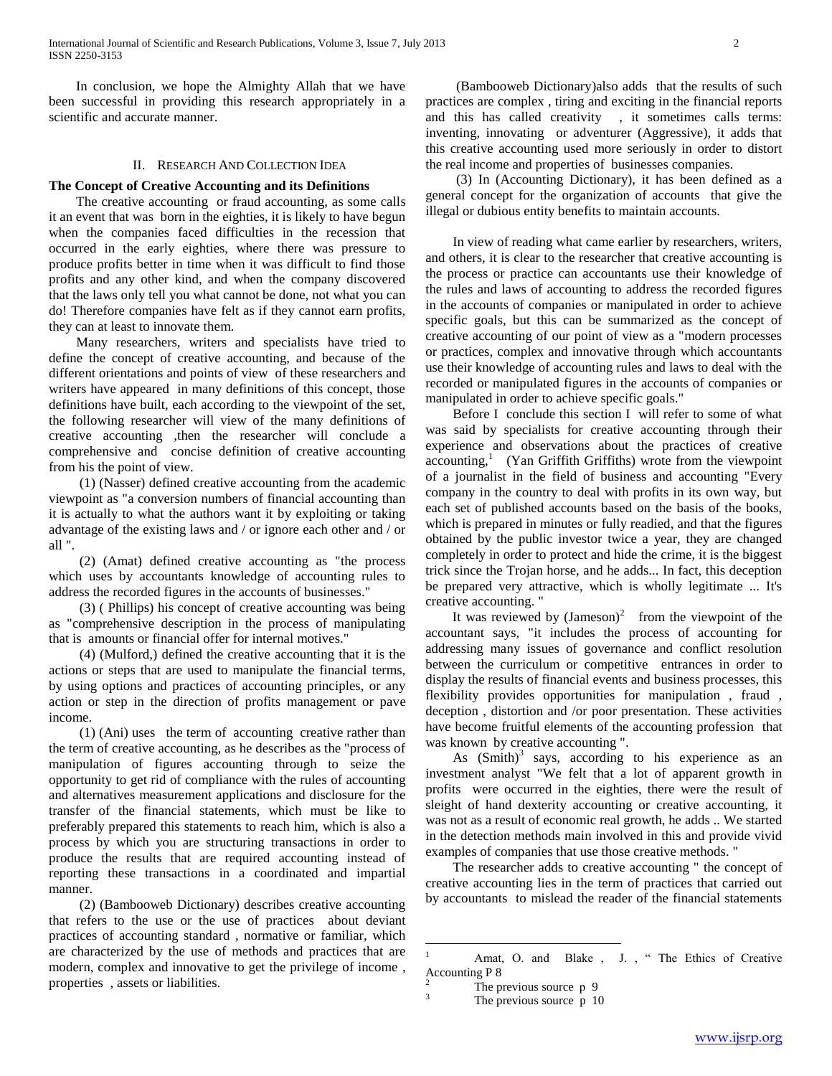In conclusion, we hope the Almighty Allah that we have been successful in providing this research appropriately in a scientific and accurate manner.

## II. RESEARCH AND COLLECTION IDEA

## **The Concept of Creative Accounting and its Definitions**

 The creative accounting or fraud accounting, as some calls it an event that was born in the eighties, it is likely to have begun when the companies faced difficulties in the recession that occurred in the early eighties, where there was pressure to produce profits better in time when it was difficult to find those profits and any other kind, and when the company discovered that the laws only tell you what cannot be done, not what you can do! Therefore companies have felt as if they cannot earn profits, they can at least to innovate them.

 Many researchers, writers and specialists have tried to define the concept of creative accounting, and because of the different orientations and points of view of these researchers and writers have appeared in many definitions of this concept, those definitions have built, each according to the viewpoint of the set, the following researcher will view of the many definitions of creative accounting ,then the researcher will conclude a comprehensive and concise definition of creative accounting from his the point of view.

 (1) (Nasser) defined creative accounting from the academic viewpoint as "a conversion numbers of financial accounting than it is actually to what the authors want it by exploiting or taking advantage of the existing laws and / or ignore each other and / or all ".

 (2) (Amat) defined creative accounting as "the process which uses by accountants knowledge of accounting rules to address the recorded figures in the accounts of businesses."

 (3) ( Phillips) his concept of creative accounting was being as "comprehensive description in the process of manipulating that is amounts or financial offer for internal motives."

 (4) (Mulford,) defined the creative accounting that it is the actions or steps that are used to manipulate the financial terms, by using options and practices of accounting principles, or any action or step in the direction of profits management or pave income.

 (1) (Ani) uses the term of accounting creative rather than the term of creative accounting, as he describes as the "process of manipulation of figures accounting through to seize the opportunity to get rid of compliance with the rules of accounting and alternatives measurement applications and disclosure for the transfer of the financial statements, which must be like to preferably prepared this statements to reach him, which is also a process by which you are structuring transactions in order to produce the results that are required accounting instead of reporting these transactions in a coordinated and impartial manner.

 (2) (Bambooweb Dictionary) describes creative accounting that refers to the use or the use of practices about deviant practices of accounting standard , normative or familiar, which are characterized by the use of methods and practices that are modern, complex and innovative to get the privilege of income , properties , assets or liabilities.

 (Bambooweb Dictionary)also adds that the results of such practices are complex , tiring and exciting in the financial reports and this has called creativity , it sometimes calls terms: inventing, innovating or adventurer (Aggressive), it adds that this creative accounting used more seriously in order to distort the real income and properties of businesses companies.

 (3) In (Accounting Dictionary), it has been defined as a general concept for the organization of accounts that give the illegal or dubious entity benefits to maintain accounts.

 In view of reading what came earlier by researchers, writers, and others, it is clear to the researcher that creative accounting is the process or practice can accountants use their knowledge of the rules and laws of accounting to address the recorded figures in the accounts of companies or manipulated in order to achieve specific goals, but this can be summarized as the concept of creative accounting of our point of view as a "modern processes or practices, complex and innovative through which accountants use their knowledge of accounting rules and laws to deal with the recorded or manipulated figures in the accounts of companies or manipulated in order to achieve specific goals."

 Before I conclude this section I will refer to some of what was said by specialists for creative accounting through their experience and observations about the practices of creative  $accounting, <sup>1</sup>$  (Yan Griffith Griffiths) wrote from the viewpoint of a journalist in the field of business and accounting "Every company in the country to deal with profits in its own way, but each set of published accounts based on the basis of the books, which is prepared in minutes or fully readied, and that the figures obtained by the public investor twice a year, they are changed completely in order to protect and hide the crime, it is the biggest trick since the Trojan horse, and he adds... In fact, this deception be prepared very attractive, which is wholly legitimate ... It's creative accounting. "

It was reviewed by  $(Jameson)^2$  from the viewpoint of the accountant says, "it includes the process of accounting for addressing many issues of governance and conflict resolution between the curriculum or competitive entrances in order to display the results of financial events and business processes, this flexibility provides opportunities for manipulation , fraud , deception , distortion and /or poor presentation. These activities have become fruitful elements of the accounting profession that was known by creative accounting ".

As  $(Smith)^3$  says, according to his experience as an investment analyst "We felt that a lot of apparent growth in profits were occurred in the eighties, there were the result of sleight of hand dexterity accounting or creative accounting, it was not as a result of economic real growth, he adds .. We started in the detection methods main involved in this and provide vivid examples of companies that use those creative methods. "

 The researcher adds to creative accounting " the concept of creative accounting lies in the term of practices that carried out by accountants to mislead the reader of the financial statements

 $\mathbf{1}$ Amat, O. and Blake, J., "The Ethics of Creative Accounting P 8

 $\frac{2}{3}$  The previous source p 9

The previous source p 10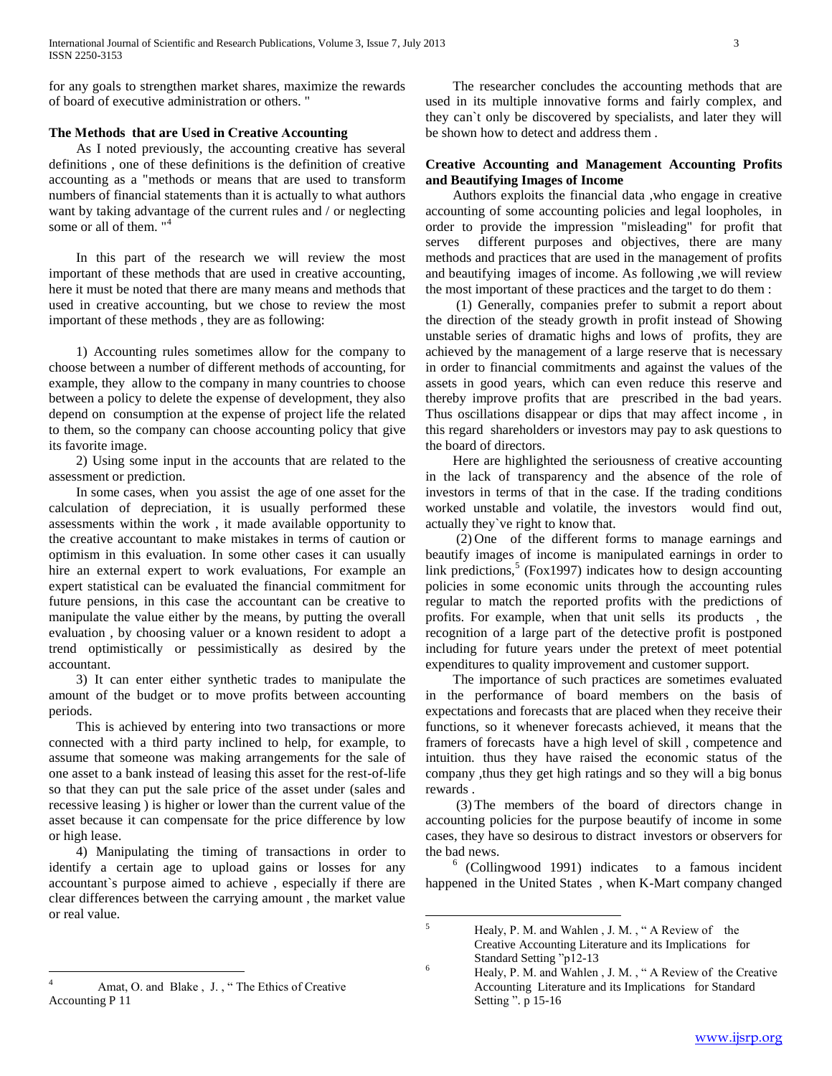for any goals to strengthen market shares, maximize the rewards of board of executive administration or others. "

# **The Methods that are Used in Creative Accounting**

 As I noted previously, the accounting creative has several definitions , one of these definitions is the definition of creative accounting as a "methods or means that are used to transform numbers of financial statements than it is actually to what authors want by taking advantage of the current rules and / or neglecting some or all of them. "<sup>4</sup>

 In this part of the research we will review the most important of these methods that are used in creative accounting, here it must be noted that there are many means and methods that used in creative accounting, but we chose to review the most important of these methods , they are as following:

 1) Accounting rules sometimes allow for the company to choose between a number of different methods of accounting, for example, they allow to the company in many countries to choose between a policy to delete the expense of development, they also depend on consumption at the expense of project life the related to them, so the company can choose accounting policy that give its favorite image.

 2) Using some input in the accounts that are related to the assessment or prediction.

 In some cases, when you assist the age of one asset for the calculation of depreciation, it is usually performed these assessments within the work , it made available opportunity to the creative accountant to make mistakes in terms of caution or optimism in this evaluation. In some other cases it can usually hire an external expert to work evaluations, For example an expert statistical can be evaluated the financial commitment for future pensions, in this case the accountant can be creative to manipulate the value either by the means, by putting the overall evaluation , by choosing valuer or a known resident to adopt a trend optimistically or pessimistically as desired by the accountant.

 3) It can enter either synthetic trades to manipulate the amount of the budget or to move profits between accounting periods.

 This is achieved by entering into two transactions or more connected with a third party inclined to help, for example, to assume that someone was making arrangements for the sale of one asset to a bank instead of leasing this asset for the rest-of-life so that they can put the sale price of the asset under (sales and recessive leasing ) is higher or lower than the current value of the asset because it can compensate for the price difference by low or high lease.

 4) Manipulating the timing of transactions in order to identify a certain age to upload gains or losses for any accountant`s purpose aimed to achieve , especially if there are clear differences between the carrying amount , the market value or real value.

 The researcher concludes the accounting methods that are used in its multiple innovative forms and fairly complex, and they can`t only be discovered by specialists, and later they will be shown how to detect and address them .

# **Creative Accounting and Management Accounting Profits and Beautifying Images of Income**

 Authors exploits the financial data ,who engage in creative accounting of some accounting policies and legal loopholes, in order to provide the impression "misleading" for profit that serves different purposes and objectives, there are many methods and practices that are used in the management of profits and beautifying images of income. As following ,we will review the most important of these practices and the target to do them :

 (1) Generally, companies prefer to submit a report about the direction of the steady growth in profit instead of Showing unstable series of dramatic highs and lows of profits, they are achieved by the management of a large reserve that is necessary in order to financial commitments and against the values of the assets in good years, which can even reduce this reserve and thereby improve profits that are prescribed in the bad years. Thus oscillations disappear or dips that may affect income , in this regard shareholders or investors may pay to ask questions to the board of directors.

 Here are highlighted the seriousness of creative accounting in the lack of transparency and the absence of the role of investors in terms of that in the case. If the trading conditions worked unstable and volatile, the investors would find out, actually they`ve right to know that.

 (2) One of the different forms to manage earnings and beautify images of income is manipulated earnings in order to link predictions,<sup>5</sup> (Fox1997) indicates how to design accounting policies in some economic units through the accounting rules regular to match the reported profits with the predictions of profits. For example, when that unit sells its products , the recognition of a large part of the detective profit is postponed including for future years under the pretext of meet potential expenditures to quality improvement and customer support.

 The importance of such practices are sometimes evaluated in the performance of board members on the basis of expectations and forecasts that are placed when they receive their functions, so it whenever forecasts achieved, it means that the framers of forecasts have a high level of skill , competence and intuition. thus they have raised the economic status of the company ,thus they get high ratings and so they will a big bonus rewards .

 (3) The members of the board of directors change in accounting policies for the purpose beautify of income in some cases, they have so desirous to distract investors or observers for the bad news.

6 (Collingwood 1991) indicates to a famous incident happened in the United States , when K-Mart company changed

 $\overline{a}$ Amat, O. and Blake, J., "The Ethics of Creative Accounting P 11

 $\overline{5}$ Healy, P. M. and Wahlen, J. M., "A Review of the Creative Accounting Literature and its Implications for Standard Setting "p12-13

 $^{6}$  Healy, P. M. and Wahlen, J. M., "A Review of the Creative Accounting Literature and its Implications for Standard Setting ". p 15-16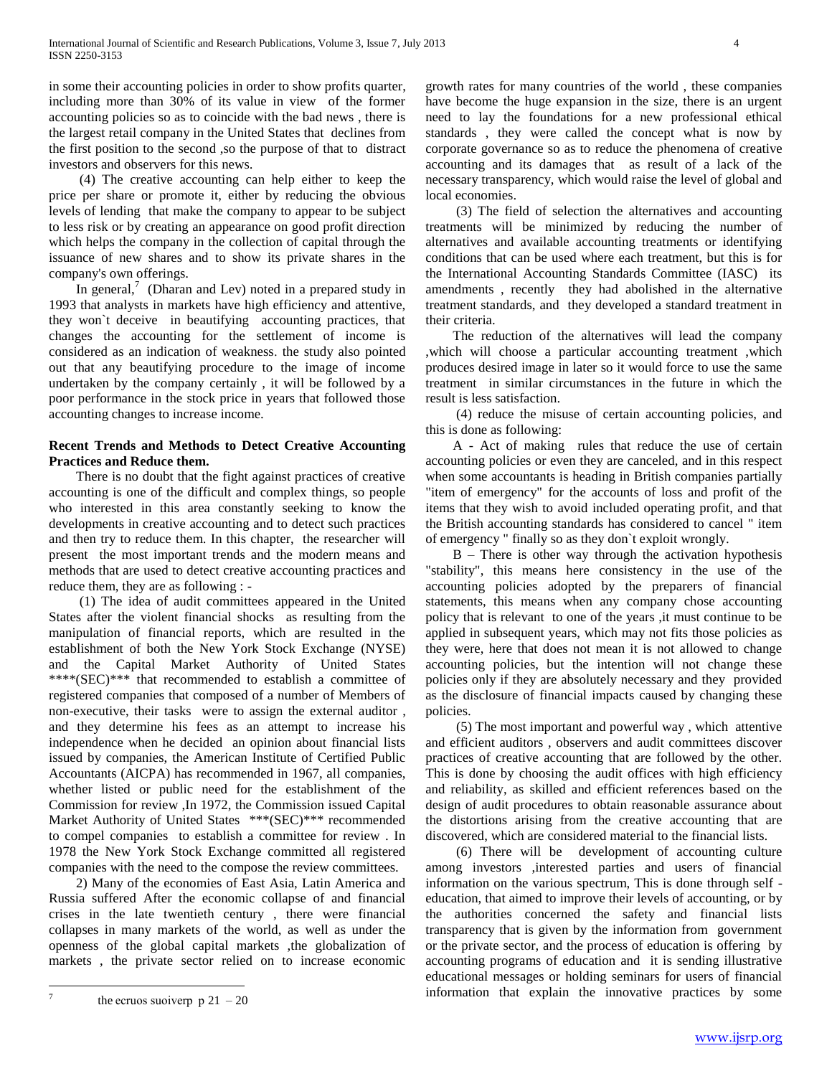in some their accounting policies in order to show profits quarter, including more than 30% of its value in view of the former accounting policies so as to coincide with the bad news , there is the largest retail company in the United States that declines from the first position to the second ,so the purpose of that to distract investors and observers for this news.

 (4) The creative accounting can help either to keep the price per share or promote it, either by reducing the obvious levels of lending that make the company to appear to be subject to less risk or by creating an appearance on good profit direction which helps the company in the collection of capital through the issuance of new shares and to show its private shares in the company's own offerings.

In general, $\frac{7}{10}$  (Dharan and Lev) noted in a prepared study in 1993 that analysts in markets have high efficiency and attentive, they won`t deceive in beautifying accounting practices, that changes the accounting for the settlement of income is considered as an indication of weakness. the study also pointed out that any beautifying procedure to the image of income undertaken by the company certainly , it will be followed by a poor performance in the stock price in years that followed those accounting changes to increase income.

# **Recent Trends and Methods to Detect Creative Accounting Practices and Reduce them.**

 There is no doubt that the fight against practices of creative accounting is one of the difficult and complex things, so people who interested in this area constantly seeking to know the developments in creative accounting and to detect such practices and then try to reduce them. In this chapter, the researcher will present the most important trends and the modern means and methods that are used to detect creative accounting practices and reduce them, they are as following : -

 (1) The idea of audit committees appeared in the United States after the violent financial shocks as resulting from the manipulation of financial reports, which are resulted in the establishment of both the New York Stock Exchange (NYSE) and the Capital Market Authority of United States \*\*\*\*(SEC)\*\*\* that recommended to establish a committee of registered companies that composed of a number of Members of non-executive, their tasks were to assign the external auditor , and they determine his fees as an attempt to increase his independence when he decided an opinion about financial lists issued by companies, the American Institute of Certified Public Accountants (AICPA) has recommended in 1967, all companies, whether listed or public need for the establishment of the Commission for review ,In 1972, the Commission issued Capital Market Authority of United States \*\*\*(SEC)\*\*\* recommended to compel companies to establish a committee for review . In 1978 the New York Stock Exchange committed all registered companies with the need to the compose the review committees.

 2) Many of the economies of East Asia, Latin America and Russia suffered After the economic collapse of and financial crises in the late twentieth century , there were financial collapses in many markets of the world, as well as under the openness of the global capital markets ,the globalization of markets , the private sector relied on to increase economic

 $\overline{a}$ 7 growth rates for many countries of the world , these companies have become the huge expansion in the size, there is an urgent need to lay the foundations for a new professional ethical standards , they were called the concept what is now by corporate governance so as to reduce the phenomena of creative accounting and its damages that as result of a lack of the necessary transparency, which would raise the level of global and local economies.

 (3) The field of selection the alternatives and accounting treatments will be minimized by reducing the number of alternatives and available accounting treatments or identifying conditions that can be used where each treatment, but this is for the International Accounting Standards Committee (IASC) its amendments , recently they had abolished in the alternative treatment standards, and they developed a standard treatment in their criteria.

 The reduction of the alternatives will lead the company ,which will choose a particular accounting treatment ,which produces desired image in later so it would force to use the same treatment in similar circumstances in the future in which the result is less satisfaction.

 (4) reduce the misuse of certain accounting policies, and this is done as following:

 A - Act of making rules that reduce the use of certain accounting policies or even they are canceled, and in this respect when some accountants is heading in British companies partially "item of emergency" for the accounts of loss and profit of the items that they wish to avoid included operating profit, and that the British accounting standards has considered to cancel " item of emergency " finally so as they don`t exploit wrongly.

 B – There is other way through the activation hypothesis "stability", this means here consistency in the use of the accounting policies adopted by the preparers of financial statements, this means when any company chose accounting policy that is relevant to one of the years ,it must continue to be applied in subsequent years, which may not fits those policies as they were, here that does not mean it is not allowed to change accounting policies, but the intention will not change these policies only if they are absolutely necessary and they provided as the disclosure of financial impacts caused by changing these policies.

 (5) The most important and powerful way , which attentive and efficient auditors , observers and audit committees discover practices of creative accounting that are followed by the other. This is done by choosing the audit offices with high efficiency and reliability, as skilled and efficient references based on the design of audit procedures to obtain reasonable assurance about the distortions arising from the creative accounting that are discovered, which are considered material to the financial lists.

 (6) There will be development of accounting culture among investors ,interested parties and users of financial information on the various spectrum, This is done through self education, that aimed to improve their levels of accounting, or by the authorities concerned the safety and financial lists transparency that is given by the information from government or the private sector, and the process of education is offering by accounting programs of education and it is sending illustrative educational messages or holding seminars for users of financial information that explain the innovative practices by some

the ecruos suoiverp  $p 21 - 20$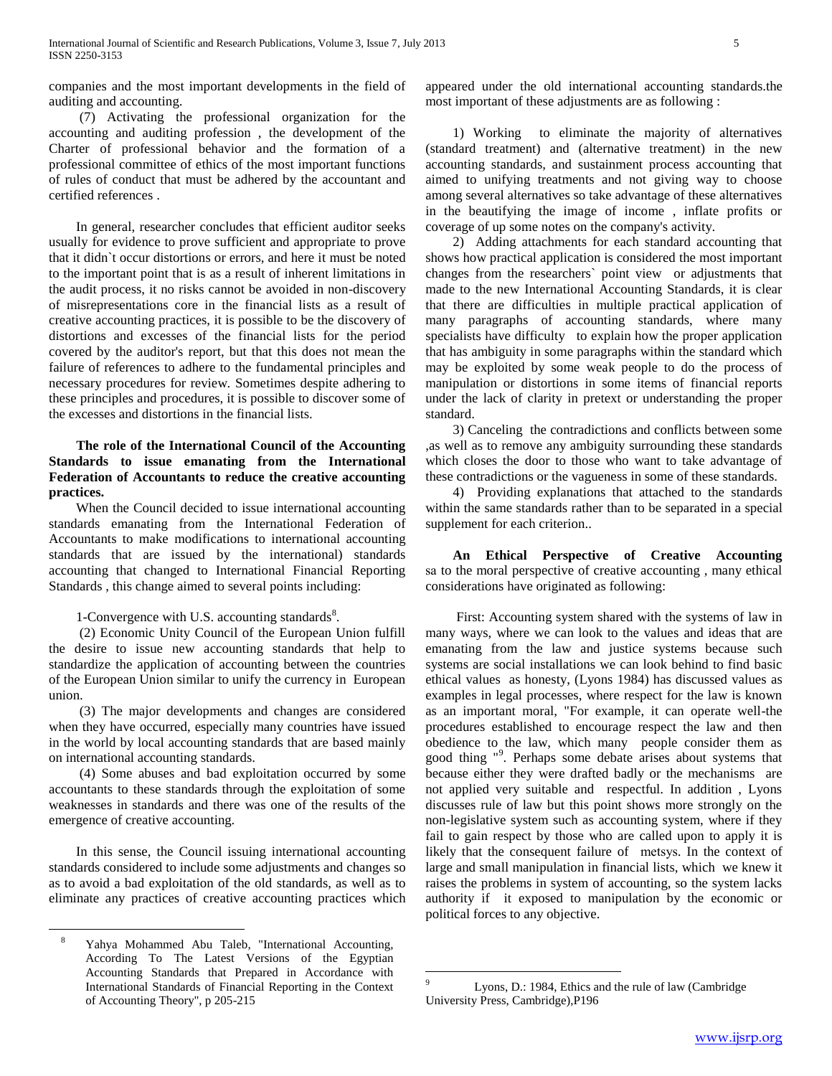companies and the most important developments in the field of auditing and accounting.

 (7) Activating the professional organization for the accounting and auditing profession , the development of the Charter of professional behavior and the formation of a professional committee of ethics of the most important functions of rules of conduct that must be adhered by the accountant and certified references .

 In general, researcher concludes that efficient auditor seeks usually for evidence to prove sufficient and appropriate to prove that it didn`t occur distortions or errors, and here it must be noted to the important point that is as a result of inherent limitations in the audit process, it no risks cannot be avoided in non-discovery of misrepresentations core in the financial lists as a result of creative accounting practices, it is possible to be the discovery of distortions and excesses of the financial lists for the period covered by the auditor's report, but that this does not mean the failure of references to adhere to the fundamental principles and necessary procedures for review. Sometimes despite adhering to these principles and procedures, it is possible to discover some of the excesses and distortions in the financial lists.

# **The role of the International Council of the Accounting Standards to issue emanating from the International Federation of Accountants to reduce the creative accounting practices.**

 When the Council decided to issue international accounting standards emanating from the International Federation of Accountants to make modifications to international accounting standards that are issued by the international) standards accounting that changed to International Financial Reporting Standards , this change aimed to several points including:

# 1-Convergence with U.S. accounting standards $8$ .

 (2) Economic Unity Council of the European Union fulfill the desire to issue new accounting standards that help to standardize the application of accounting between the countries of the European Union similar to unify the currency in European union.

 (3) The major developments and changes are considered when they have occurred, especially many countries have issued in the world by local accounting standards that are based mainly on international accounting standards.

 (4) Some abuses and bad exploitation occurred by some accountants to these standards through the exploitation of some weaknesses in standards and there was one of the results of the emergence of creative accounting.

 In this sense, the Council issuing international accounting standards considered to include some adjustments and changes so as to avoid a bad exploitation of the old standards, as well as to eliminate any practices of creative accounting practices which

 $\overline{a}$ 

appeared under the old international accounting standards.the most important of these adjustments are as following :

 1) Working to eliminate the majority of alternatives (standard treatment) and (alternative treatment) in the new accounting standards, and sustainment process accounting that aimed to unifying treatments and not giving way to choose among several alternatives so take advantage of these alternatives in the beautifying the image of income , inflate profits or coverage of up some notes on the company's activity.

 2) Adding attachments for each standard accounting that shows how practical application is considered the most important changes from the researchers` point view or adjustments that made to the new International Accounting Standards, it is clear that there are difficulties in multiple practical application of many paragraphs of accounting standards, where many specialists have difficulty to explain how the proper application that has ambiguity in some paragraphs within the standard which may be exploited by some weak people to do the process of manipulation or distortions in some items of financial reports under the lack of clarity in pretext or understanding the proper standard.

 3) Canceling the contradictions and conflicts between some ,as well as to remove any ambiguity surrounding these standards which closes the door to those who want to take advantage of these contradictions or the vagueness in some of these standards.

 4) Providing explanations that attached to the standards within the same standards rather than to be separated in a special supplement for each criterion..

 **An Ethical Perspective of Creative Accounting** sa to the moral perspective of creative accounting , many ethical considerations have originated as following:

 First: Accounting system shared with the systems of law in many ways, where we can look to the values and ideas that are emanating from the law and justice systems because such systems are social installations we can look behind to find basic ethical values as honesty, (Lyons 1984) has discussed values as examples in legal processes, where respect for the law is known as an important moral, "For example, it can operate well-the procedures established to encourage respect the law and then obedience to the law, which many people consider them as good thing "<sup>9</sup> . Perhaps some debate arises about systems that because either they were drafted badly or the mechanisms are not applied very suitable and respectful. In addition , Lyons discusses rule of law but this point shows more strongly on the non-legislative system such as accounting system, where if they fail to gain respect by those who are called upon to apply it is likely that the consequent failure of metsys. In the context of large and small manipulation in financial lists, which we knew it raises the problems in system of accounting, so the system lacks authority if it exposed to manipulation by the economic or political forces to any objective.

 $\overline{a}$ 

<sup>8</sup> Yahya Mohammed Abu Taleb, "International Accounting, According To The Latest Versions of the Egyptian Accounting Standards that Prepared in Accordance with International Standards of Financial Reporting in the Context of Accounting Theory", p 205-215

Lyons, D.: 1984, Ethics and the rule of law (Cambridge University Press, Cambridge),P196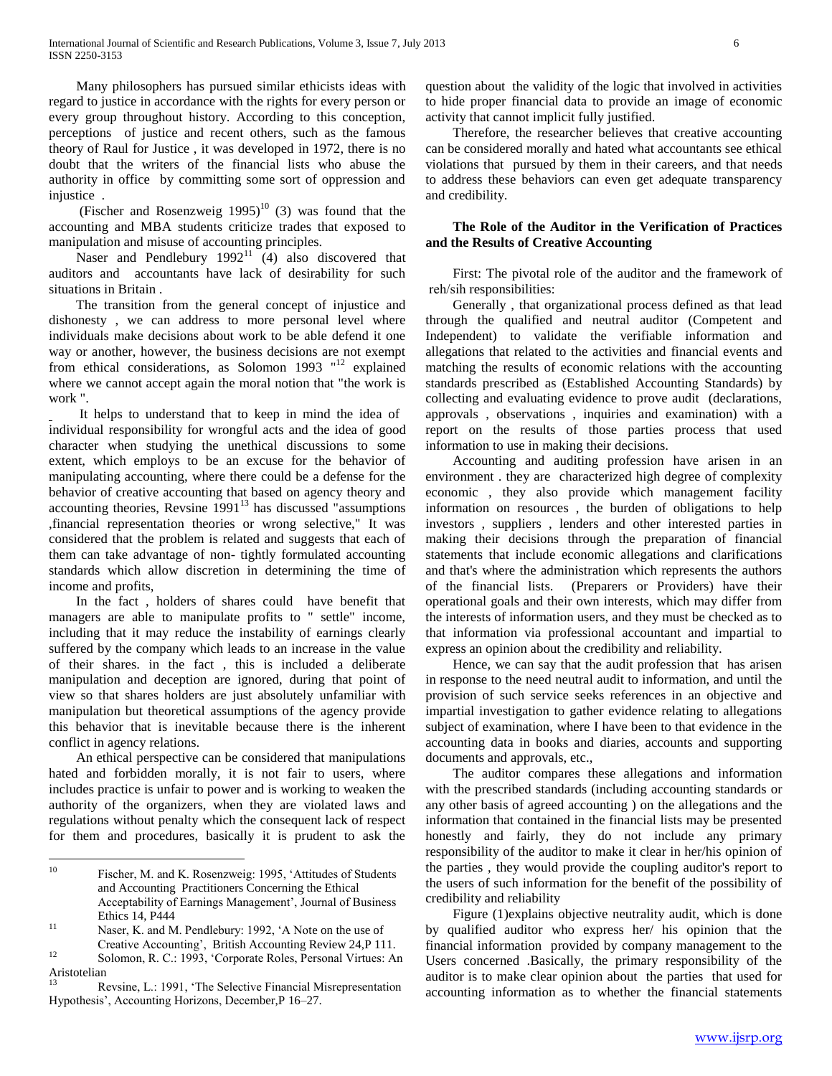Many philosophers has pursued similar ethicists ideas with regard to justice in accordance with the rights for every person or every group throughout history. According to this conception, perceptions of justice and recent others, such as the famous theory of Raul for Justice , it was developed in 1972, there is no doubt that the writers of the financial lists who abuse the authority in office by committing some sort of oppression and injustice .

(Fischer and Rosenzweig  $1995$ )<sup>10</sup> (3) was found that the accounting and MBA students criticize trades that exposed to manipulation and misuse of accounting principles.

Naser and Pendlebury  $1992^{11}$  (4) also discovered that auditors and accountants have lack of desirability for such situations in Britain .

 The transition from the general concept of injustice and dishonesty , we can address to more personal level where individuals make decisions about work to be able defend it one way or another, however, the business decisions are not exempt from ethical considerations, as Solomon 1993 "<sup>12</sup> explained where we cannot accept again the moral notion that "the work is work ".

 It helps to understand that to keep in mind the idea of individual responsibility for wrongful acts and the idea of good character when studying the unethical discussions to some extent, which employs to be an excuse for the behavior of manipulating accounting, where there could be a defense for the behavior of creative accounting that based on agency theory and accounting theories, Revsine  $1991<sup>13</sup>$  has discussed "assumptions ,financial representation theories or wrong selective," It was considered that the problem is related and suggests that each of them can take advantage of non- tightly formulated accounting standards which allow discretion in determining the time of income and profits,

 In the fact , holders of shares could have benefit that managers are able to manipulate profits to " settle" income, including that it may reduce the instability of earnings clearly suffered by the company which leads to an increase in the value of their shares. in the fact , this is included a deliberate manipulation and deception are ignored, during that point of view so that shares holders are just absolutely unfamiliar with manipulation but theoretical assumptions of the agency provide this behavior that is inevitable because there is the inherent conflict in agency relations.

 An ethical perspective can be considered that manipulations hated and forbidden morally, it is not fair to users, where includes practice is unfair to power and is working to weaken the authority of the organizers, when they are violated laws and regulations without penalty which the consequent lack of respect for them and procedures, basically it is prudent to ask the

 $\overline{a}$ 

Aristotelian

question about the validity of the logic that involved in activities to hide proper financial data to provide an image of economic activity that cannot implicit fully justified.

 Therefore, the researcher believes that creative accounting can be considered morally and hated what accountants see ethical violations that pursued by them in their careers, and that needs to address these behaviors can even get adequate transparency and credibility.

# **The Role of the Auditor in the Verification of Practices and the Results of Creative Accounting**

 First: The pivotal role of the auditor and the framework of reh/sih responsibilities:

 Generally , that organizational process defined as that lead through the qualified and neutral auditor (Competent and Independent) to validate the verifiable information and allegations that related to the activities and financial events and matching the results of economic relations with the accounting standards prescribed as (Established Accounting Standards) by collecting and evaluating evidence to prove audit (declarations, approvals , observations , inquiries and examination) with a report on the results of those parties process that used information to use in making their decisions.

 Accounting and auditing profession have arisen in an environment . they are characterized high degree of complexity economic , they also provide which management facility information on resources , the burden of obligations to help investors , suppliers , lenders and other interested parties in making their decisions through the preparation of financial statements that include economic allegations and clarifications and that's where the administration which represents the authors of the financial lists. (Preparers or Providers) have their operational goals and their own interests, which may differ from the interests of information users, and they must be checked as to that information via professional accountant and impartial to express an opinion about the credibility and reliability.

 Hence, we can say that the audit profession that has arisen in response to the need neutral audit to information, and until the provision of such service seeks references in an objective and impartial investigation to gather evidence relating to allegations subject of examination, where I have been to that evidence in the accounting data in books and diaries, accounts and supporting documents and approvals, etc.,

 The auditor compares these allegations and information with the prescribed standards (including accounting standards or any other basis of agreed accounting ) on the allegations and the information that contained in the financial lists may be presented honestly and fairly, they do not include any primary responsibility of the auditor to make it clear in her/his opinion of the parties , they would provide the coupling auditor's report to the users of such information for the benefit of the possibility of credibility and reliability

 Figure (1)explains objective neutrality audit, which is done by qualified auditor who express her/ his opinion that the financial information provided by company management to the Users concerned .Basically, the primary responsibility of the auditor is to make clear opinion about the parties that used for accounting information as to whether the financial statements

<sup>10</sup> Fischer, M. and K. Rosenzweig: 1995, "Attitudes of Students and Accounting Practitioners Concerning the Ethical Acceptability of Earnings Management', Journal of Business Ethics 14, P444

<sup>11</sup> Naser, K. and M. Pendlebury: 1992, "A Note on the use of Creative Accounting", British Accounting Review 24,P 111. <sup>12</sup> Solomon, R. C.: 1993, "Corporate Roles, Personal Virtues: An

<sup>13</sup> Revsine, L.: 1991, "The Selective Financial Misrepresentation Hypothesis", Accounting Horizons, December,P 16–27.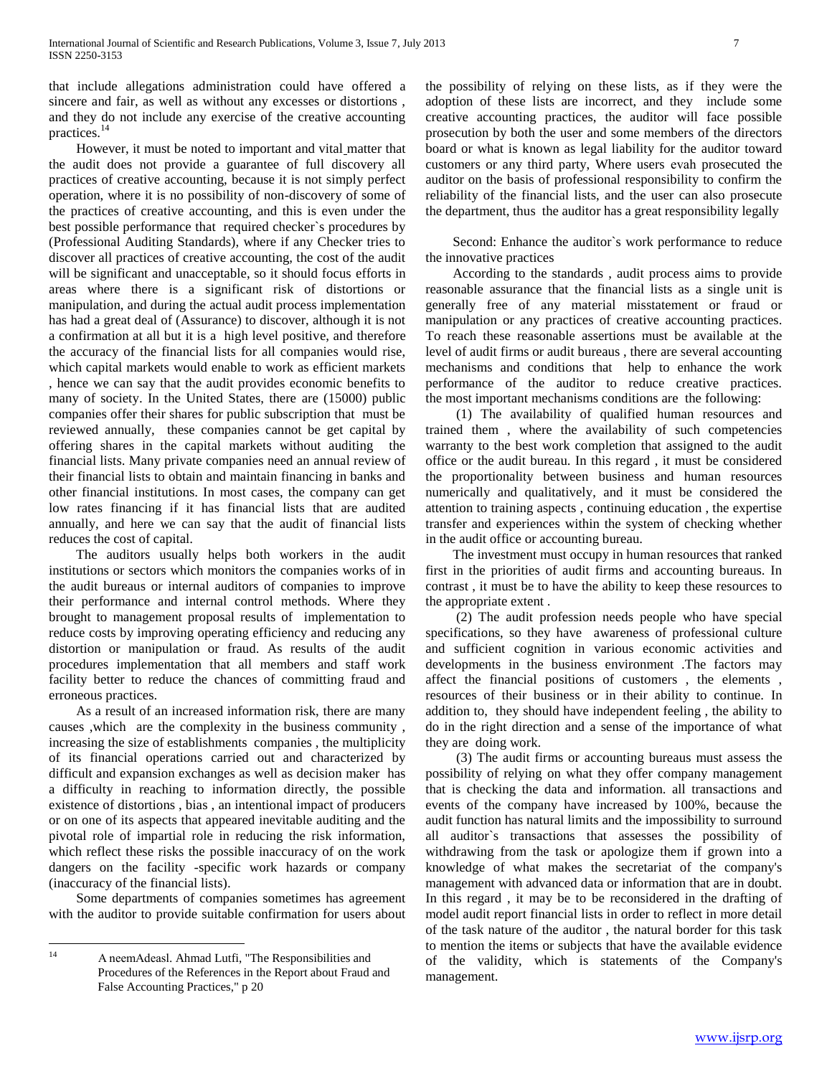that include allegations administration could have offered a sincere and fair, as well as without any excesses or distortions , and they do not include any exercise of the creative accounting practices.<sup>14</sup>

 However, it must be noted to important and vital matter that the audit does not provide a guarantee of full discovery all practices of creative accounting, because it is not simply perfect operation, where it is no possibility of non-discovery of some of the practices of creative accounting, and this is even under the best possible performance that required checker`s procedures by (Professional Auditing Standards), where if any Checker tries to discover all practices of creative accounting, the cost of the audit will be significant and unacceptable, so it should focus efforts in areas where there is a significant risk of distortions or manipulation, and during the actual audit process implementation has had a great deal of (Assurance) to discover, although it is not a confirmation at all but it is a high level positive, and therefore the accuracy of the financial lists for all companies would rise, which capital markets would enable to work as efficient markets , hence we can say that the audit provides economic benefits to many of society. In the United States, there are (15000) public companies offer their shares for public subscription that must be reviewed annually, these companies cannot be get capital by offering shares in the capital markets without auditing the financial lists. Many private companies need an annual review of their financial lists to obtain and maintain financing in banks and other financial institutions. In most cases, the company can get low rates financing if it has financial lists that are audited annually, and here we can say that the audit of financial lists reduces the cost of capital.

 The auditors usually helps both workers in the audit institutions or sectors which monitors the companies works of in the audit bureaus or internal auditors of companies to improve their performance and internal control methods. Where they brought to management proposal results of implementation to reduce costs by improving operating efficiency and reducing any distortion or manipulation or fraud. As results of the audit procedures implementation that all members and staff work facility better to reduce the chances of committing fraud and erroneous practices.

 As a result of an increased information risk, there are many causes ,which are the complexity in the business community , increasing the size of establishments companies , the multiplicity of its financial operations carried out and characterized by difficult and expansion exchanges as well as decision maker has a difficulty in reaching to information directly, the possible existence of distortions , bias , an intentional impact of producers or on one of its aspects that appeared inevitable auditing and the pivotal role of impartial role in reducing the risk information, which reflect these risks the possible inaccuracy of on the work dangers on the facility -specific work hazards or company (inaccuracy of the financial lists).

 Some departments of companies sometimes has agreement with the auditor to provide suitable confirmation for users about

the possibility of relying on these lists, as if they were the adoption of these lists are incorrect, and they include some creative accounting practices, the auditor will face possible prosecution by both the user and some members of the directors board or what is known as legal liability for the auditor toward customers or any third party, Where users evah prosecuted the auditor on the basis of professional responsibility to confirm the reliability of the financial lists, and the user can also prosecute the department, thus the auditor has a great responsibility legally

 Second: Enhance the auditor`s work performance to reduce the innovative practices

 According to the standards , audit process aims to provide reasonable assurance that the financial lists as a single unit is generally free of any material misstatement or fraud or manipulation or any practices of creative accounting practices. To reach these reasonable assertions must be available at the level of audit firms or audit bureaus , there are several accounting mechanisms and conditions that help to enhance the work performance of the auditor to reduce creative practices. the most important mechanisms conditions are the following:

 (1) The availability of qualified human resources and trained them , where the availability of such competencies warranty to the best work completion that assigned to the audit office or the audit bureau. In this regard , it must be considered the proportionality between business and human resources numerically and qualitatively, and it must be considered the attention to training aspects , continuing education , the expertise transfer and experiences within the system of checking whether in the audit office or accounting bureau.

 The investment must occupy in human resources that ranked first in the priorities of audit firms and accounting bureaus. In contrast , it must be to have the ability to keep these resources to the appropriate extent .

 (2) The audit profession needs people who have special specifications, so they have awareness of professional culture and sufficient cognition in various economic activities and developments in the business environment .The factors may affect the financial positions of customers , the elements , resources of their business or in their ability to continue. In addition to, they should have independent feeling , the ability to do in the right direction and a sense of the importance of what they are doing work.

 (3) The audit firms or accounting bureaus must assess the possibility of relying on what they offer company management that is checking the data and information. all transactions and events of the company have increased by 100%, because the audit function has natural limits and the impossibility to surround all auditor`s transactions that assesses the possibility of withdrawing from the task or apologize them if grown into a knowledge of what makes the secretariat of the company's management with advanced data or information that are in doubt. In this regard , it may be to be reconsidered in the drafting of model audit report financial lists in order to reflect in more detail of the task nature of the auditor , the natural border for this task to mention the items or subjects that have the available evidence of the validity, which is statements of the Company's management.

 $14$ 

<sup>14</sup> A neemAdeasl. Ahmad Lutfi, "The Responsibilities and Procedures of the References in the Report about Fraud and False Accounting Practices," p 20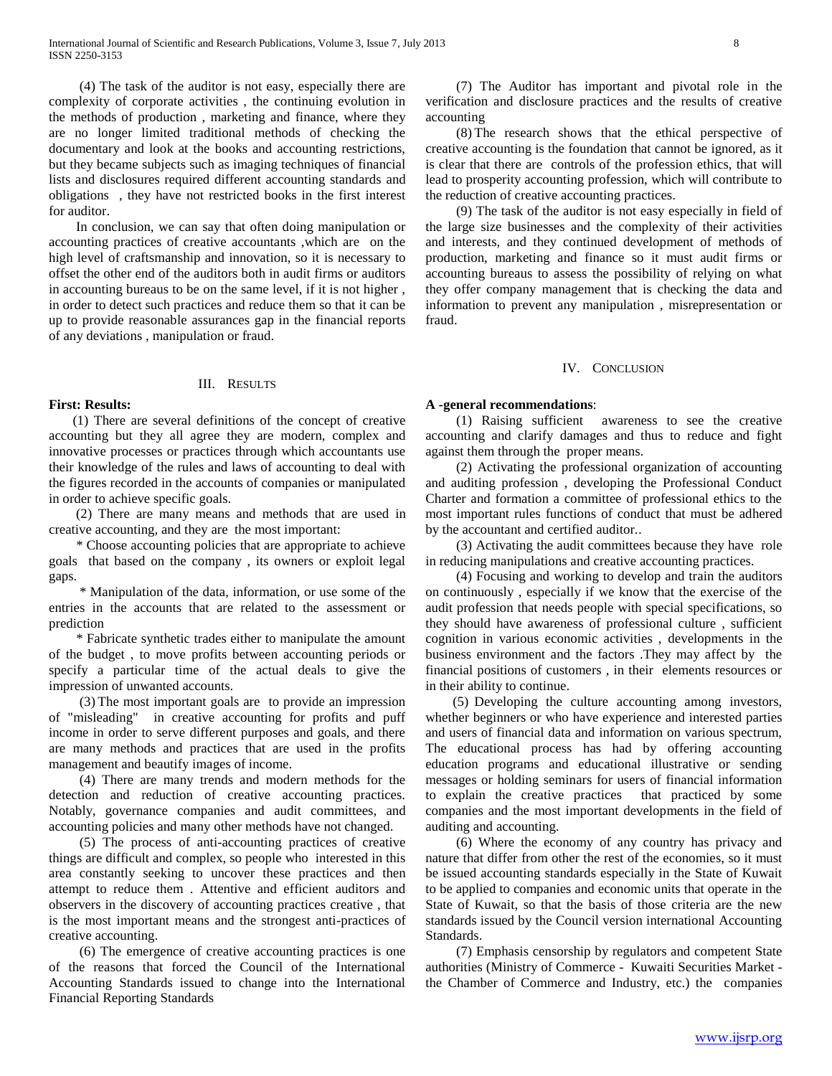(4) The task of the auditor is not easy, especially there are complexity of corporate activities , the continuing evolution in the methods of production , marketing and finance, where they are no longer limited traditional methods of checking the documentary and look at the books and accounting restrictions, but they became subjects such as imaging techniques of financial lists and disclosures required different accounting standards and obligations , they have not restricted books in the first interest for auditor.

 In conclusion, we can say that often doing manipulation or accounting practices of creative accountants ,which are on the high level of craftsmanship and innovation, so it is necessary to offset the other end of the auditors both in audit firms or auditors in accounting bureaus to be on the same level, if it is not higher , in order to detect such practices and reduce them so that it can be up to provide reasonable assurances gap in the financial reports of any deviations , manipulation or fraud.

## III. RESULTS

## **First: Results:**

 (1) There are several definitions of the concept of creative accounting but they all agree they are modern, complex and innovative processes or practices through which accountants use their knowledge of the rules and laws of accounting to deal with the figures recorded in the accounts of companies or manipulated in order to achieve specific goals.

 (2) There are many means and methods that are used in creative accounting, and they are the most important:

 \* Choose accounting policies that are appropriate to achieve goals that based on the company , its owners or exploit legal gaps.

 \* Manipulation of the data, information, or use some of the entries in the accounts that are related to the assessment or prediction

 \* Fabricate synthetic trades either to manipulate the amount of the budget , to move profits between accounting periods or specify a particular time of the actual deals to give the impression of unwanted accounts.

 (3) The most important goals are to provide an impression of "misleading" in creative accounting for profits and puff income in order to serve different purposes and goals, and there are many methods and practices that are used in the profits management and beautify images of income.

 (4) There are many trends and modern methods for the detection and reduction of creative accounting practices. Notably, governance companies and audit committees, and accounting policies and many other methods have not changed.

 (5) The process of anti-accounting practices of creative things are difficult and complex, so people who interested in this area constantly seeking to uncover these practices and then attempt to reduce them . Attentive and efficient auditors and observers in the discovery of accounting practices creative , that is the most important means and the strongest anti-practices of creative accounting.

 (6) The emergence of creative accounting practices is one of the reasons that forced the Council of the International Accounting Standards issued to change into the International Financial Reporting Standards

 (7) The Auditor has important and pivotal role in the verification and disclosure practices and the results of creative accounting

 (8) The research shows that the ethical perspective of creative accounting is the foundation that cannot be ignored, as it is clear that there are controls of the profession ethics, that will lead to prosperity accounting profession, which will contribute to the reduction of creative accounting practices.

 (9) The task of the auditor is not easy especially in field of the large size businesses and the complexity of their activities and interests, and they continued development of methods of production, marketing and finance so it must audit firms or accounting bureaus to assess the possibility of relying on what they offer company management that is checking the data and information to prevent any manipulation , misrepresentation or fraud.

## IV. CONCLUSION

## **A -general recommendations**:

 (1) Raising sufficient awareness to see the creative accounting and clarify damages and thus to reduce and fight against them through the proper means.

 (2) Activating the professional organization of accounting and auditing profession , developing the Professional Conduct Charter and formation a committee of professional ethics to the most important rules functions of conduct that must be adhered by the accountant and certified auditor..

 (3) Activating the audit committees because they have role in reducing manipulations and creative accounting practices.

 (4) Focusing and working to develop and train the auditors on continuously , especially if we know that the exercise of the audit profession that needs people with special specifications, so they should have awareness of professional culture , sufficient cognition in various economic activities , developments in the business environment and the factors .They may affect by the financial positions of customers , in their elements resources or in their ability to continue.

 (5) Developing the culture accounting among investors, whether beginners or who have experience and interested parties and users of financial data and information on various spectrum, The educational process has had by offering accounting education programs and educational illustrative or sending messages or holding seminars for users of financial information to explain the creative practices that practiced by some companies and the most important developments in the field of auditing and accounting.

 (6) Where the economy of any country has privacy and nature that differ from other the rest of the economies, so it must be issued accounting standards especially in the State of Kuwait to be applied to companies and economic units that operate in the State of Kuwait, so that the basis of those criteria are the new standards issued by the Council version international Accounting Standards.

 (7) Emphasis censorship by regulators and competent State authorities (Ministry of Commerce - Kuwaiti Securities Market the Chamber of Commerce and Industry, etc.) the companies